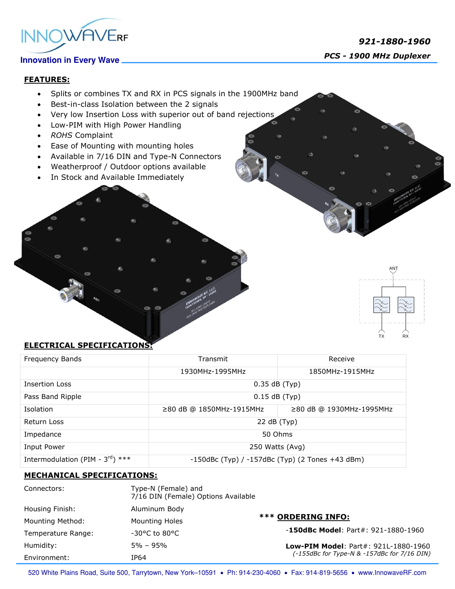

 *921-1880-1960 PCS - <sup>1900</sup> MHz Duplexer*

#### **FEATURES:**

- Splits or combines TX and RX in PCS signals in the 1900MHz band
- Best-in-class Isolation between the 2 signals
- Very low Insertion Loss with superior out of band rejections
- Low-PIM with High Power Handling
- *ROHS* Complaint
- Ease of Mounting with mounting holes
- Available in 7/16 DIN and Type-N Connectors
- Weatherproof / Outdoor options available
- In Stock and Available Immediately



### **ELECTRICAL SPECIFICATIONS:**

| Frequency Bands                              | Transmit                                              | Receive                  |
|----------------------------------------------|-------------------------------------------------------|--------------------------|
|                                              | 1930MHz-1995MHz                                       | 1850MHz-1915MHz          |
| <b>Insertion Loss</b>                        | $0.35$ dB (Typ)                                       |                          |
| Pass Band Ripple                             | $0.15$ dB (Typ)                                       |                          |
| Isolation                                    | ≥80 dB @ 1850MHz-1915MHz                              | ≥80 dB @ 1930MHz-1995MHz |
| Return Loss                                  | 22 dB (Typ)                                           |                          |
| Impedance                                    | 50 Ohms                                               |                          |
| Input Power                                  | 250 Watts (Avg)                                       |                          |
| Intermodulation (PIM - $3^{\text{rd}}$ ) *** | $-150$ dBc (Typ) / $-157$ dBc (Typ) (2 Tones +43 dBm) |                          |

#### **MECHANICAL SPECIFICATIONS:**

| Connectors:        | Type-N (Female) and<br>7/16 DIN (Female) Options Available |                                                                                            |
|--------------------|------------------------------------------------------------|--------------------------------------------------------------------------------------------|
| Housing Finish:    | Aluminum Body                                              |                                                                                            |
| Mounting Method:   | <b>Mounting Holes</b>                                      | <b>*** ORDERING INFO:</b>                                                                  |
| Temperature Range: | $-30^{\circ}$ C to 80°C                                    | $-150$ dBc Model: Part#: 921-1880-1960                                                     |
| Humidity:          | $5\% - 95\%$                                               | <b>Low-PIM Model: Part#: 921L-1880-1960</b><br>(-155dBc for Type-N & -157dBc for 7/16 DIN) |
| Environment:       | IP64                                                       |                                                                                            |

520 White Plains Road, Suite 500, Tarrytown, New York-10591 . Ph: 914-230-4060 . Fax: 914-819-5656 . www.InnowaveRF.com